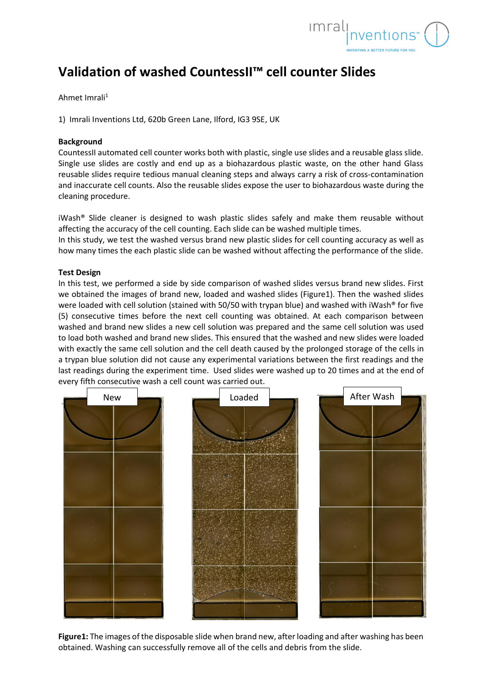

## **Validation of washed CountessII™ cell counter Slides**

Ahmet Imrali<sup>1</sup>

1) Imrali Inventions Ltd, 620b Green Lane, Ilford, IG3 9SE, UK

## **Background**

CountessII automated cell counter works both with plastic, single use slides and a reusable glass slide. Single use slides are costly and end up as a biohazardous plastic waste, on the other hand Glass reusable slides require tedious manual cleaning steps and always carry a risk of cross-contamination and inaccurate cell counts. Also the reusable slides expose the user to biohazardous waste during the cleaning procedure.

iWash® Slide cleaner is designed to wash plastic slides safely and make them reusable without affecting the accuracy of the cell counting. Each slide can be washed multiple times.

In this study, we test the washed versus brand new plastic slides for cell counting accuracy as well as how many times the each plastic slide can be washed without affecting the performance of the slide.

## **Test Design**

In this test, we performed a side by side comparison of washed slides versus brand new slides. First we obtained the images of brand new, loaded and washed slides (Figure1). Then the washed slides were loaded with cell solution (stained with 50/50 with trypan blue) and washed with iWash® for five (5) consecutive times before the next cell counting was obtained. At each comparison between washed and brand new slides a new cell solution was prepared and the same cell solution was used to load both washed and brand new slides. This ensured that the washed and new slides were loaded with exactly the same cell solution and the cell death caused by the prolonged storage of the cells in a trypan blue solution did not cause any experimental variations between the first readings and the last readings during the experiment time. Used slides were washed up to 20 times and at the end of every fifth consecutive wash a cell count was carried out.



**Figure1:** The images of the disposable slide when brand new, after loading and after washing has been obtained. Washing can successfully remove all of the cells and debris from the slide.